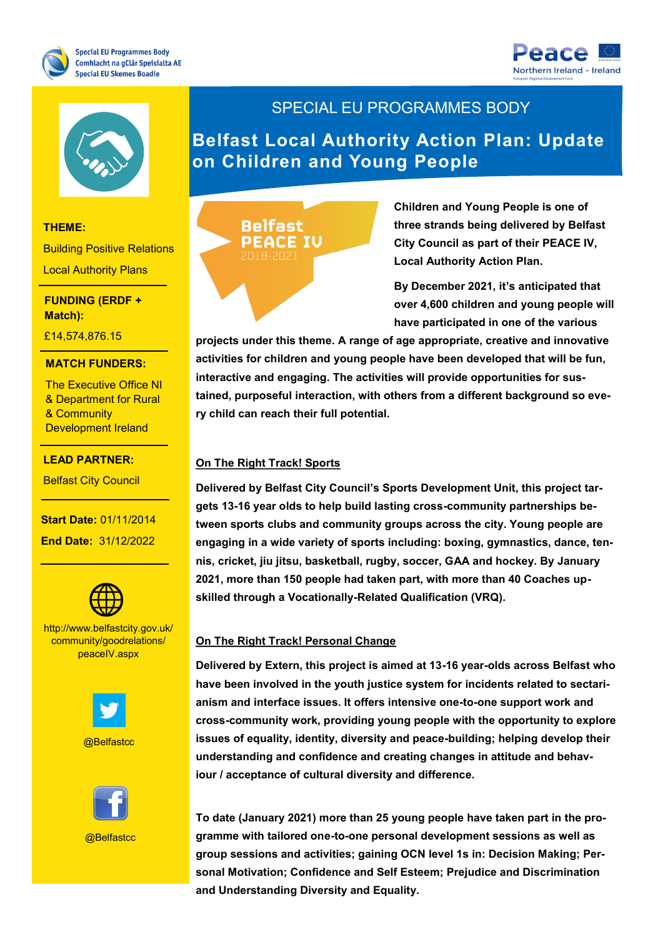





#### **THEME:**

Building Positive Relations Local Authority Plans

#### **THEME: Match): FUNDING (ERDF +**

£14,574,876.15

## **MATCH FUNDERS:**

The Executive Office NI **Development Ireland** & Department for Rural & Community

<del>7,727,27</del>,271.2020

#### **LEAD PARTNER:**

Belfast City Council

**Start Date: 01/11/2014 End Date: 31/12/2022** 



- The South West

**PROJECT CONTACT:** http://www.belfastcity.gov.uk/ peaceIV.aspx community/goodrelations/



@Belfastcc

## SPECIAL EU PROGRAMMES BODY

**Belfast Local Authority Action Plan: Update on Children and Young People**



**Children and Young People is one of three strands being delivered by Belfast City Council as part of their PEACE IV, Local Authority Action Plan.** 

**By December 2021, it's anticipated that over 4,600 children and young people will have participated in one of the various** 

**projects under this theme. A range of age appropriate, creative and innovative activities for children and young people have been developed that will be fun, interactive and engaging. The activities will provide opportunities for sustained, purposeful interaction, with others from a different background so every child can reach their full potential.**

## **On The Right Track! Sports**

**Delivered by Belfast City Council's Sports Development Unit, this project targets 13-16 year olds to help build lasting cross-community partnerships between sports clubs and community groups across the city. Young people are engaging in a wide variety of sports including: boxing, gymnastics, dance, tennis, cricket, jiu jitsu, basketball, rugby, soccer, GAA and hockey. By January 2021, more than 150 people had taken part, with more than 40 Coaches upskilled through a Vocationally-Related Qualification (VRQ).** 

#### **On The Right Track! Personal Change**

**Delivered by Extern, this project is aimed at 13-16 year-olds across Belfast who have been involved in the youth justice system for incidents related to sectarianism and interface issues. It offers intensive one-to-one support work and cross-community work, providing young people with the opportunity to explore issues of equality, identity, diversity and peace-building; helping develop their understanding and confidence and creating changes in attitude and behaviour / acceptance of cultural diversity and difference.** 

**To date (January 2021) more than 25 young people have taken part in the programme with tailored one-to-one personal development sessions as well as group sessions and activities; gaining OCN level 1s in: Decision Making; Personal Motivation; Confidence and Self Esteem; Prejudice and Discrimination and Understanding Diversity and Equality.**